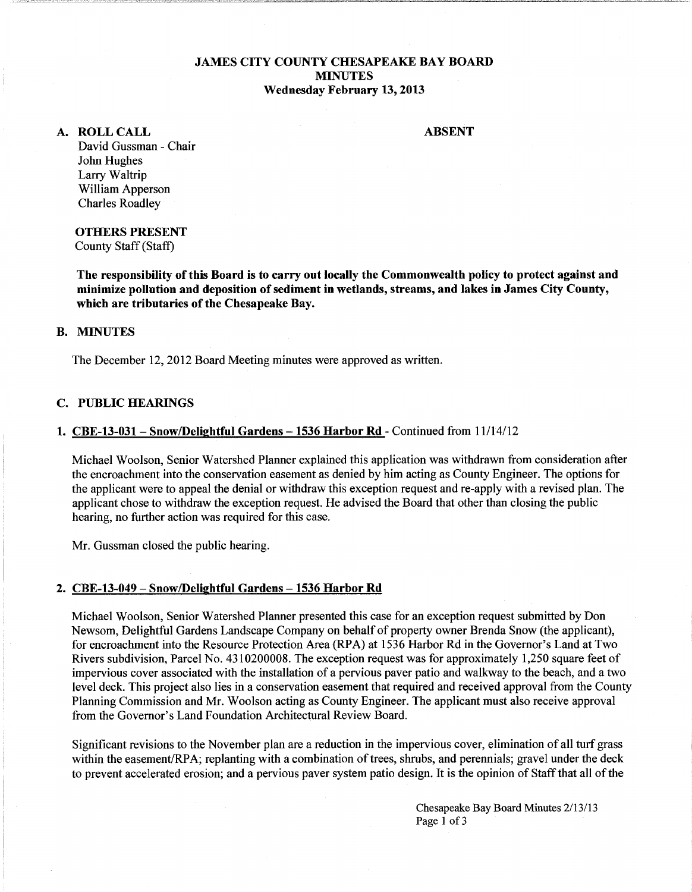## JAMES CITY COUNTY CHESAPEAKE BAY BOARD MINUTES Wednesday February 13, 2013

### A. ROLLCALL

#### ABSENT

David Gussman - Chair John Hughes Larry Waltrip William Apperson Charles Roadley

## OTHERS PRESENT

County Staff (Staff)

The responsibility of this Board is to carry out locally the Commonwealth policy to protect against and minimize pollution and deposition of sediment in wetlands, streams, and lakes in James City County, which are tributaries of the Chesapeake Bay.

### B. MINUTES

The December 12, 2012 Board Meeting minutes were approved as written.

### C. PUBLIC HEARINGS

#### 1. CBE-13-031- Snow/Delightful Gardens -1536 Harbor Rd- Continued from 11/14112

Michael Woolson, Senior Watershed Planner explained this application was withdrawn from consideration after the encroachment into the conservation easement as denied by him acting as County Engineer. The options for the applicant were to appeal the denial or withdraw this exception request and re-apply with a revised plan. The applicant chose to withdraw the exception request. He advised the Board that other than closing the public hearing, no further action was required for this case.

Mr. Gussman closed the public hearing.

#### 2. CBE-13-049- Snow/Delightful Gardens- 1536 Harbor Rd

Michael Woolson, Senior Watershed Planner presented this case for an exception request submitted by Don Newsom, Delightful Gardens Landscape Company on behalf of property owner Brenda Snow (the applicant), for encroachment into the Resource Protection Area (RPA) at 1536 Harbor Rd in the Governor's Land at Two Rivers subdivision, Parcel No. 4310200008. The exception request was for approximately 1,250 square feet of impervious cover associated with the installation of a pervious paver patio and walkway to the beach, and a two level deck. This project also lies in a conservation easement that required and received approval from the County Planning Commission and Mr. Woolson acting as County Engineer. The applicant must also receive approval from the Governor's Land Foundation Architectural Review Board.

Significant revisions to the November plan are a reduction in the impervious cover, elimination of all turf grass within the easement/RPA; replanting with a combination of trees, shrubs, and perennials; gravel under the deck to prevent accelerated erosion; and a pervious paver system patio design. It is the opinion of Staff that all of the

> Chesapeake Bay Board Minutes 2/13/13 Page 1 of 3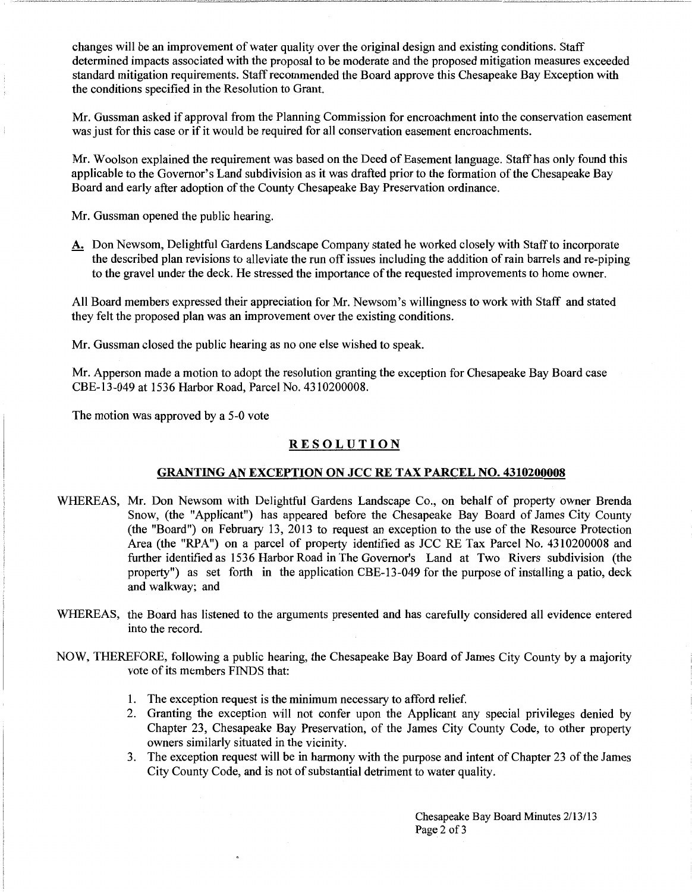changes will be an improvement of water quality over the original design and existing conditions. Staff determined impacts associated with the proposal to be moderate and the proposed mitigation measures exceeded standard mitigation requirements. Staff recommended the Board approve this Chesapeake Bay Exception with the conditions specified in the Resolution to Grant.

Mr. Gussman asked if approval from the Planning Commission for encroachment into the conservation easement was just for this case or if it would be required for all conservation easement encroachments.

Mr. Woolson explained the requirement was based on the Deed of Easement language. Staff has only found this applicable to the Governor's Land subdivision as it was drafted prior to the formation of the Chesapeake Bay Board and early after adoption of the County Chesapeake Bay Preservation ordinance.

Mr. Gussman opened the public hearing.

A. Don Newsom, Delightful Gardens Landscape Company stated he worked closely with Staff to incorporate the described plan revisions to alleviate the run off issues including the addition of rain barrels and re-piping to the gravel under the deck. He stressed the importance of the requested improvements to home owner.

All Board members expressed their appreciation for Mr. Newsom's willingness to work with Staff and stated they felt the proposed plan was an improvement over the existing conditions.

Mr. Gussman closed the public hearing as no one else wished to speak.

Mr. Apperson made a motion to adopt the resolution granting the exception for Chesapeake Bay Board case CBE-13-049 at 1536 Harbor Road, Parcel No. 4310200008.

The motion was approved by a 5-0 vote

# RESOLUTION

### GRANTING AN EXCEPTION ON JCC RE TAX PARCEL NO. 4310200008

- WHEREAS, Mr. Don Newsom with Delightful Gardens Landscape Co., on behalf of property owner Brenda Snow, (the "Applicant") has appeared before the Chesapeake Bay Board of James City County (the "Board") on February 13, 2013 to request an exception to the use of the Resource Protection Area (the "RPA") on a parcel of property identified as JCC RE Tax Parcel No. 4310200008 and further identified as 1536 Harbor Road in The Governor's Land at Two Rivers subdivision (the property") as set forth in the application CBE-13-049 for the purpose of installing a patio, deck and walkway; and
- WHEREAS, the Board has listened to the arguments presented and has carefully considered all evidence entered into the record.
- NOW, THEREFORE, following a public hearing, the Chesapeake Bay Board of James City County by a majority vote of its members FINDS that:
	- 1. The exception request is the minimum necessary to afford relief.
	- 2. Granting the exception will not confer upon the Applicant any special privileges denied by Chapter 23, Chesapeake Bay Preservation, of the James City County Code, to other property owners similarly situated in the vicinity.
	- 3. The exception request will be in harmony with the purpose and intent of Chapter 23 of the James City County Code, and is not of substantial detriment to water quality.